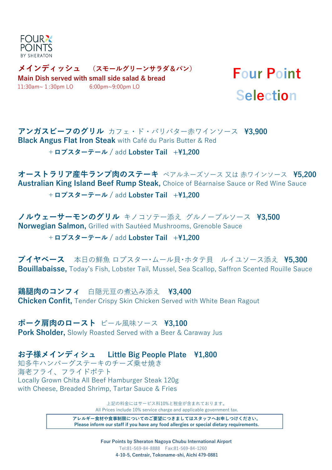

**メインディッシュ (スモールグリーンサラダ&パン) Main Dish served with small side salad & bread**  11:30am~1:30pm LO 6:00pm~9:00pm LO

## **Four Point Selection**

**アンガスビーフのグリル** カフェ・ド・パリバター赤ワインソース **\3,900 Black Angus Flat Iron Steak** with Café du Paris Butter & Red

+**ロブスターテール /** add **Lobster Tail +\1,200**

**オーストラリア産牛ランプ肉のステーキ** ベアルネーズソース 又は 赤ワインソース **\5,200 Australian King Island Beef Rump Steak,** Choice of Béarnaise Sauce or Red Wine Sauce

+**ロブスターテール /** add **Lobster Tail +\1,200**

**ノルウェーサーモンのグリル** キノコソテー添え グルノーブルソース **\3,500 Norwegian Salmon,** Grilled with Sautéed Mushrooms, Grenoble Sauce

+**ロブスターテール /** add **Lobster Tail +\1,200**

**ブイヤベース** 本日の鮮魚 ロブスター・ムール貝・ホタテ貝 ルイユソース添え **\5,300 Bouillabaisse,** Today's Fish, Lobster Tail, Mussel, Sea Scallop, Saffron Scented Rouille Sauce

**鶏腿肉のコンフィ** 白隠元豆の煮込み添え ¥3.400 **Chicken Confit,** Tender Crispy Skin Chicken Served with White Bean Ragout

**ポーク肩肉のロースト** ビール風味ソース **\3,100 Pork Sholder,** Slowly Roasted Served with a Beer & Caraway Jus

with Cheese, Breaded Shrimp, Tartar Sauce & Fries **お子様メインディシュ Little Big People Plate \1,800** 海老フライ、フライドポテト Locally Grown Chita All Beef Hamburger Steak 120g 知多牛ハンバーグステーキのチーズ乗せ焼き

> 上記の料金にはサービス料10%と税金が含まれております。 All Prices include 10% service charge and applicable government tax.

**アレルギー食材や食事制限についてのご要望につきましてはスタッフへお申しつけください。 Please inform our staff if you have any food allergies or special dietary requirements.**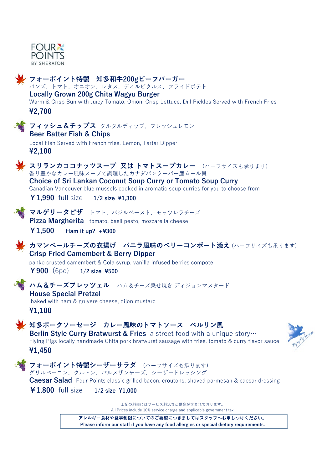



**アレルギー食材や食事制限についてのご要望につきましてはスタッフへお申しつけください。 Please inform our staff if you have any food allergies or special dietary requirements.**